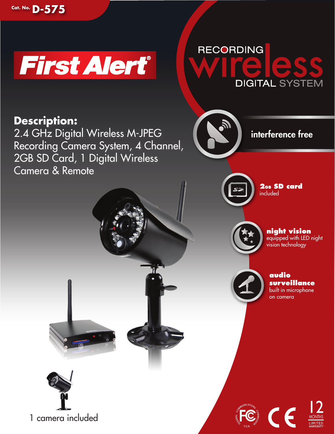





# **Description:**

2.4 GHz Digital Wireless M-JPEG Recording Camera System, 4 Channel, 2GB SD Card, 1 Digital Wireless Camera & Remote



**2GB SD card** included

interference free



**night vision** equipped with LED night vision technology



**audio surveillance** built in microphone

on camera

MONTHS  $12$